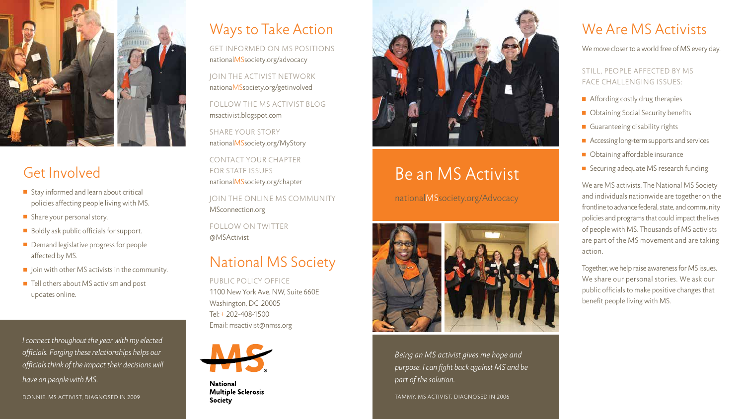

### Get Involved

- $\blacksquare$  Stay informed and learn about critical policies affecting people living with MS.
- $\blacksquare$  Share your personal story.
- $\blacksquare$  Boldly ask public officials for support.
- **n** Demand legislative progress for people affected by MS.
- $\blacksquare$  Join with other MS activists in the community.
- Tell others about MS activism and post updates online.

*I connect throughout the year with my elected officials. Forging these relationships helps our officials think of the impact their decisions will have on people with MS.*

DONNIE, MS ACTIVIST, DIAGNOSED IN 2009

## Be an MS Activist

nationalMSsociety.org/Advocacy



*Being an MS activist gives me hope and purpose. I can fight back against MS and be part of the solution.*

We are MS activists. The National MS Society and individuals nationwide are together on the frontline to advance federal, state, and community policies and programs that could impact the lives of people with MS. Thousands of MS activists are part of the MS movement and are taking action.

Tammy, MS Activist, diagno s e d in 2006

### We Are MS Activists

We move closer to a world free of MS every day.<br>STILL, PEOPLE AFFECTED BY MS<br>FACE CHALLENGING ISSUES:

- $\blacksquare$  Affording costly drug therapies
- Obtaining Social Security benefits
- Guaranteeing disability rights
- Accessing long-term supports and services
- **n** Obtaining affordable insurance
- Securing adequate MS research funding

FOLLOW THE MS ACTIVIST BLOG msactivist.blogspot.com

SHARE YOUR STORY nationalMSsociety.org/MyStory<br>CONTACT YOUR CHAPTER

> Together, we help raise awareness for MS issues. We share our personal stories. We ask our public officials to make positive changes that benefit people living with MS.

#### Ways to Take Action

get informed on ms positions nationalMSsociety.org/advocacy

Jo in the a cti vist network nationaMSsociety.org/getinvolved

for State Issue s

nationalMSsociety.org/chapter<br>JOIN THE ONLINE MS COMMUNITY MSconnection.org<br>FOLLOW ON TWITTER

@MSActivist

### National MS Society

Public Policy Office 1100 New York Ave. NW, Suite 660 Washington, D C 20005 Tel: + 202-408-1500 Email: msactivist@nmss.org



**National Multiple Sclerosis Society**